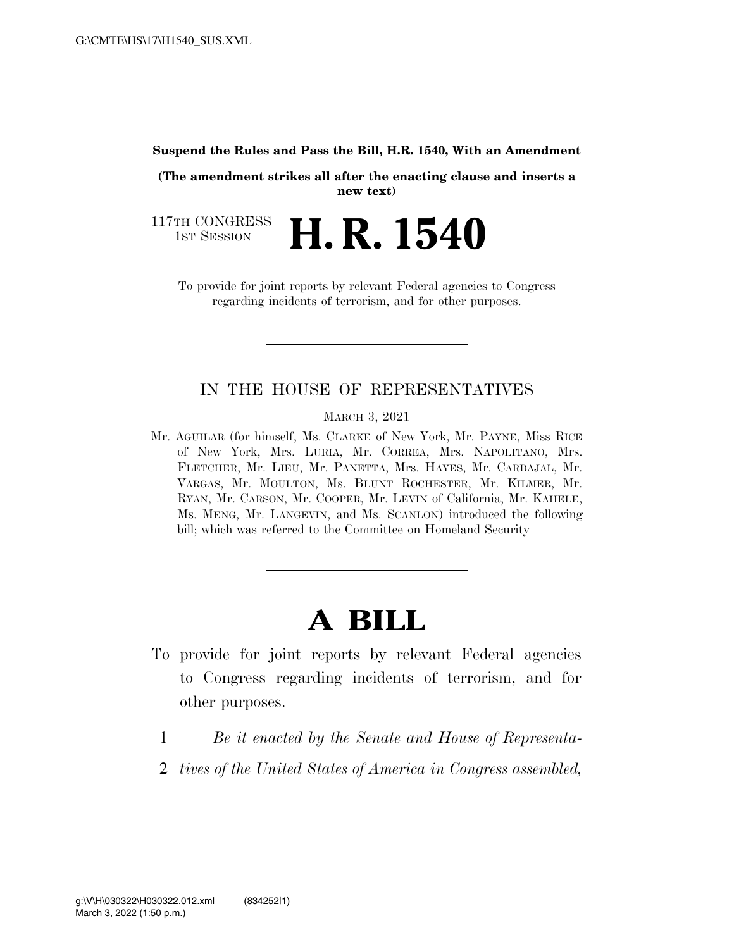#### **Suspend the Rules and Pass the Bill, H.R. 1540, With an Amendment**

**(The amendment strikes all after the enacting clause and inserts a new text)** 

117TH CONGRESS<br>1st Session **H. R. 1540** 

To provide for joint reports by relevant Federal agencies to Congress regarding incidents of terrorism, and for other purposes.

## IN THE HOUSE OF REPRESENTATIVES

MARCH 3, 2021

Mr. AGUILAR (for himself, Ms. CLARKE of New York, Mr. PAYNE, Miss RICE of New York, Mrs. LURIA, Mr. CORREA, Mrs. NAPOLITANO, Mrs. FLETCHER, Mr. LIEU, Mr. PANETTA, Mrs. HAYES, Mr. CARBAJAL, Mr. VARGAS, Mr. MOULTON, Ms. BLUNT ROCHESTER, Mr. KILMER, Mr. RYAN, Mr. CARSON, Mr. COOPER, Mr. LEVIN of California, Mr. KAHELE, Ms. MENG, Mr. LANGEVIN, and Ms. SCANLON) introduced the following bill; which was referred to the Committee on Homeland Security

# **A BILL**

- To provide for joint reports by relevant Federal agencies to Congress regarding incidents of terrorism, and for other purposes.
	- 1 *Be it enacted by the Senate and House of Representa-*
	- 2 *tives of the United States of America in Congress assembled,*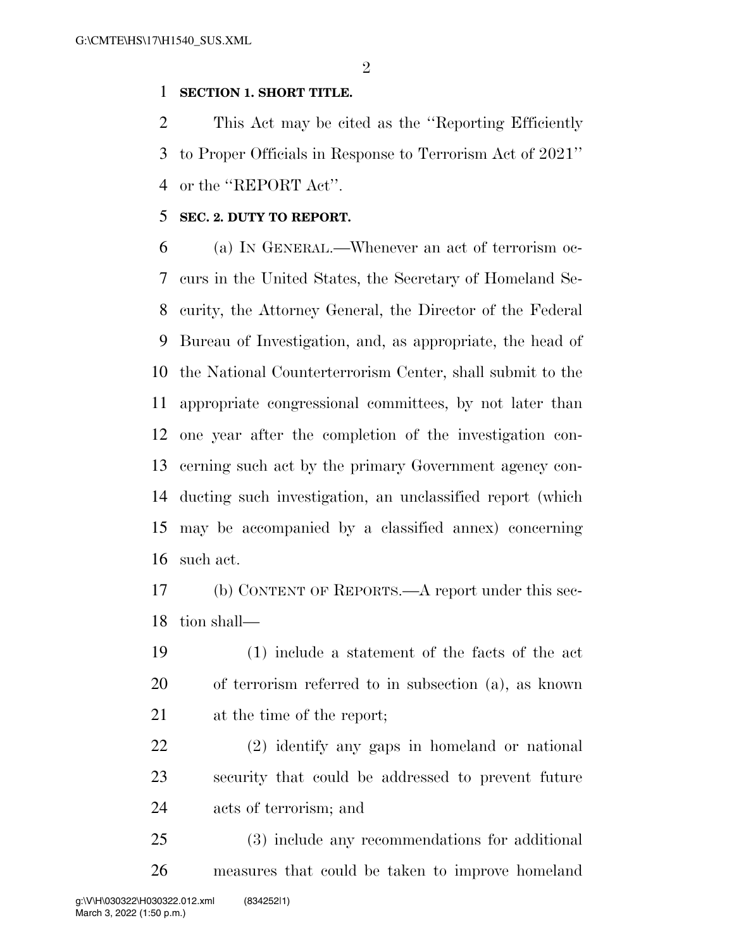$\mathfrak{D}$ 

### **SECTION 1. SHORT TITLE.**

 This Act may be cited as the ''Reporting Efficiently to Proper Officials in Response to Terrorism Act of 2021'' or the ''REPORT Act''.

### **SEC. 2. DUTY TO REPORT.**

 (a) IN GENERAL.—Whenever an act of terrorism oc- curs in the United States, the Secretary of Homeland Se- curity, the Attorney General, the Director of the Federal Bureau of Investigation, and, as appropriate, the head of the National Counterterrorism Center, shall submit to the appropriate congressional committees, by not later than one year after the completion of the investigation con- cerning such act by the primary Government agency con- ducting such investigation, an unclassified report (which may be accompanied by a classified annex) concerning such act.

 (b) CONTENT OF REPORTS.—A report under this sec-tion shall—

 (1) include a statement of the facts of the act of terrorism referred to in subsection (a), as known at the time of the report;

 (2) identify any gaps in homeland or national security that could be addressed to prevent future acts of terrorism; and

 (3) include any recommendations for additional measures that could be taken to improve homeland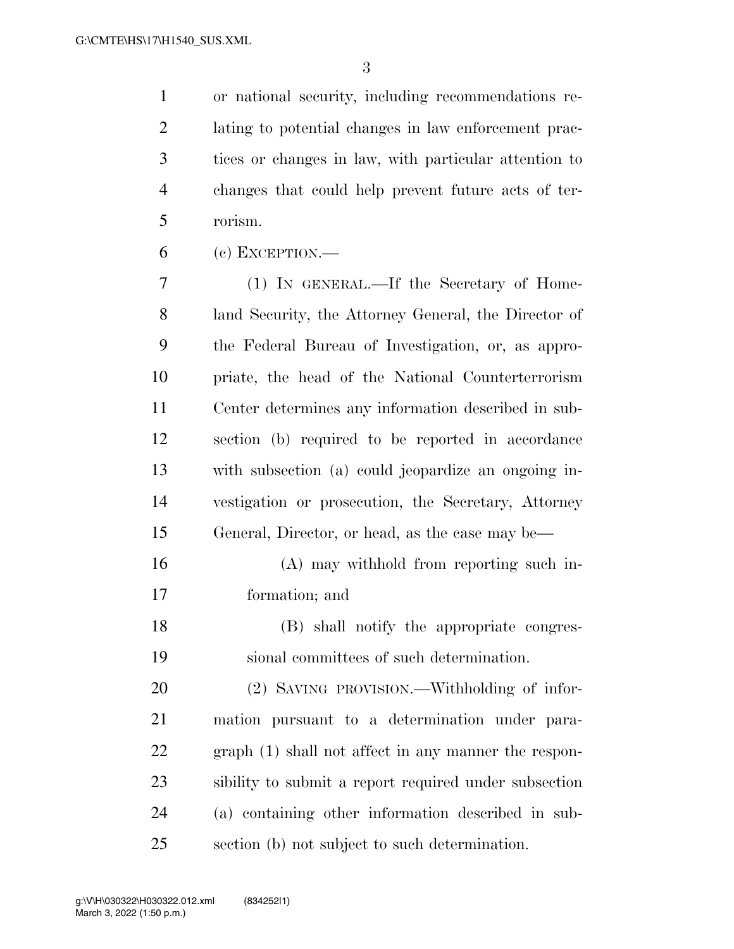or national security, including recommendations re- lating to potential changes in law enforcement prac- tices or changes in law, with particular attention to changes that could help prevent future acts of ter-rorism.

(c) EXCEPTION.—

 (1) IN GENERAL.—If the Secretary of Home- land Security, the Attorney General, the Director of the Federal Bureau of Investigation, or, as appro- priate, the head of the National Counterterrorism Center determines any information described in sub- section (b) required to be reported in accordance with subsection (a) could jeopardize an ongoing in- vestigation or prosecution, the Secretary, Attorney General, Director, or head, as the case may be—

 (A) may withhold from reporting such in-formation; and

 (B) shall notify the appropriate congres-sional committees of such determination.

 (2) SAVING PROVISION.—Withholding of infor- mation pursuant to a determination under para- graph (1) shall not affect in any manner the respon- sibility to submit a report required under subsection (a) containing other information described in sub-section (b) not subject to such determination.